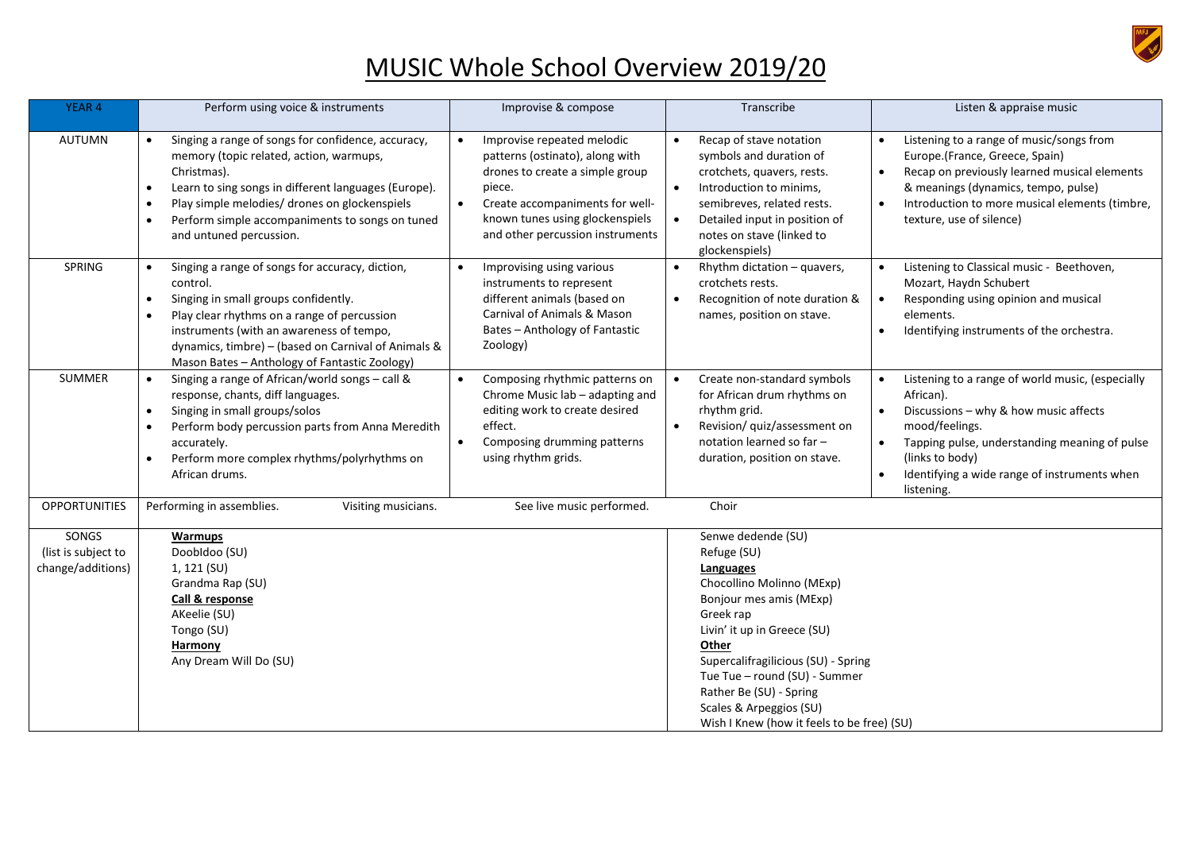

## MUSIC Whole School Overview 2019/20

| <b>YEAR 4</b>                                     | Perform using voice & instruments                                                                                                                                                                                                                                                                      | Improvise & compose                                                                                                                                                                                                                            | Transcribe                                                                                                                                                                                                                                                                                                                              | Listen & appraise music                                                                                                                                                                                                                                                                                        |
|---------------------------------------------------|--------------------------------------------------------------------------------------------------------------------------------------------------------------------------------------------------------------------------------------------------------------------------------------------------------|------------------------------------------------------------------------------------------------------------------------------------------------------------------------------------------------------------------------------------------------|-----------------------------------------------------------------------------------------------------------------------------------------------------------------------------------------------------------------------------------------------------------------------------------------------------------------------------------------|----------------------------------------------------------------------------------------------------------------------------------------------------------------------------------------------------------------------------------------------------------------------------------------------------------------|
| <b>AUTUMN</b>                                     | Singing a range of songs for confidence, accuracy,<br>memory (topic related, action, warmups,<br>Christmas).<br>Learn to sing songs in different languages (Europe).<br>Play simple melodies/ drones on glockenspiels<br>Perform simple accompaniments to songs on tuned<br>and untuned percussion.    | Improvise repeated melodic<br>$\bullet$<br>patterns (ostinato), along with<br>drones to create a simple group<br>piece.<br>Create accompaniments for well-<br>$\bullet$<br>known tunes using glockenspiels<br>and other percussion instruments | Recap of stave notation<br>$\bullet$<br>symbols and duration of<br>crotchets, quavers, rests.<br>Introduction to minims,<br>$\bullet$<br>semibreves, related rests.<br>Detailed input in position of<br>notes on stave (linked to<br>glockenspiels)                                                                                     | Listening to a range of music/songs from<br>$\bullet$<br>Europe.(France, Greece, Spain)<br>Recap on previously learned musical elements<br>$\bullet$<br>& meanings (dynamics, tempo, pulse)<br>Introduction to more musical elements (timbre,<br>$\bullet$<br>texture, use of silence)                         |
| SPRING                                            | Singing a range of songs for accuracy, diction,<br>control.<br>Singing in small groups confidently.<br>Play clear rhythms on a range of percussion<br>instruments (with an awareness of tempo,<br>dynamics, timbre) - (based on Carnival of Animals &<br>Mason Bates - Anthology of Fantastic Zoology) | Improvising using various<br>$\bullet$<br>instruments to represent<br>different animals (based on<br>Carnival of Animals & Mason<br>Bates - Anthology of Fantastic<br>Zoology)                                                                 | Rhythm dictation - quavers,<br>$\bullet$<br>crotchets rests.<br>Recognition of note duration &<br>names, position on stave.                                                                                                                                                                                                             | Listening to Classical music - Beethoven,<br>$\bullet$<br>Mozart, Haydn Schubert<br>Responding using opinion and musical<br>$\bullet$<br>elements.<br>Identifying instruments of the orchestra.<br>$\bullet$                                                                                                   |
| <b>SUMMER</b>                                     | Singing a range of African/world songs - call &<br>response, chants, diff languages.<br>Singing in small groups/solos<br>Perform body percussion parts from Anna Meredith<br>accurately.<br>Perform more complex rhythms/polyrhythms on<br>African drums.                                              | Composing rhythmic patterns on<br>Chrome Music lab - adapting and<br>editing work to create desired<br>effect.<br>Composing drumming patterns<br>using rhythm grids.                                                                           | Create non-standard symbols<br>$\bullet$<br>for African drum rhythms on<br>rhythm grid.<br>Revision/ quiz/assessment on<br>notation learned so far -<br>duration, position on stave.                                                                                                                                                    | Listening to a range of world music, (especially<br>$\bullet$<br>African).<br>Discussions - why & how music affects<br>$\bullet$<br>mood/feelings.<br>Tapping pulse, understanding meaning of pulse<br>$\bullet$<br>(links to body)<br>Identifying a wide range of instruments when<br>$\bullet$<br>listening. |
| <b>OPPORTUNITIES</b>                              | Choir<br>Performing in assemblies.<br>Visiting musicians.<br>See live music performed.                                                                                                                                                                                                                 |                                                                                                                                                                                                                                                |                                                                                                                                                                                                                                                                                                                                         |                                                                                                                                                                                                                                                                                                                |
| SONGS<br>(list is subject to<br>change/additions) | Warmups<br>Doobldoo (SU)<br>1, 121 (SU)<br>Grandma Rap (SU)<br>Call & response<br>AKeelie (SU)<br>Tongo (SU)<br>Harmony<br>Any Dream Will Do (SU)                                                                                                                                                      |                                                                                                                                                                                                                                                | Senwe dedende (SU)<br>Refuge (SU)<br>Languages<br>Chocollino Molinno (MExp)<br>Bonjour mes amis (MExp)<br>Greek rap<br>Livin' it up in Greece (SU)<br>Other<br>Supercalifragilicious (SU) - Spring<br>Tue Tue - round (SU) - Summer<br>Rather Be (SU) - Spring<br>Scales & Arpeggios (SU)<br>Wish I Knew (how it feels to be free) (SU) |                                                                                                                                                                                                                                                                                                                |